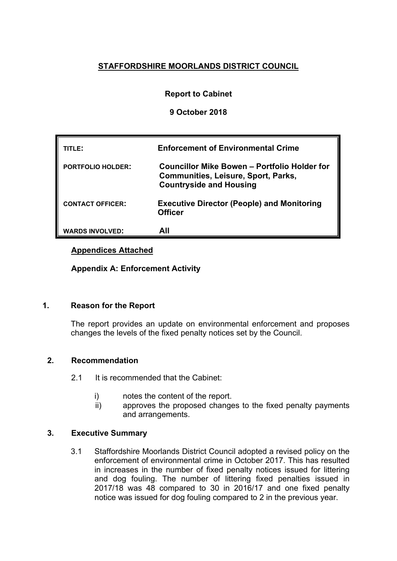## **STAFFORDSHIRE MOORLANDS DISTRICT COUNCIL**

#### **Report to Cabinet**

#### **9 October 2018**

| TITLE:                   | <b>Enforcement of Environmental Crime</b>                                                                                    |
|--------------------------|------------------------------------------------------------------------------------------------------------------------------|
| <b>PORTFOLIO HOLDER:</b> | Councillor Mike Bowen – Portfolio Holder for<br><b>Communities, Leisure, Sport, Parks,</b><br><b>Countryside and Housing</b> |
| <b>CONTACT OFFICER:</b>  | <b>Executive Director (People) and Monitoring</b><br><b>Officer</b>                                                          |
| <b>WARDS INVOLVED:</b>   | All                                                                                                                          |

#### **Appendices Attached**

**Appendix A: Enforcement Activity**

#### **1. Reason for the Report**

The report provides an update on environmental enforcement and proposes changes the levels of the fixed penalty notices set by the Council.

#### **2. Recommendation**

- 2.1 It is recommended that the Cabinet:
	- i) notes the content of the report.
	- ii) approves the proposed changes to the fixed penalty payments and arrangements.

#### **3. Executive Summary**

3.1 Staffordshire Moorlands District Council adopted a revised policy on the enforcement of environmental crime in October 2017. This has resulted in increases in the number of fixed penalty notices issued for littering and dog fouling. The number of littering fixed penalties issued in 2017/18 was 48 compared to 30 in 2016/17 and one fixed penalty notice was issued for dog fouling compared to 2 in the previous year.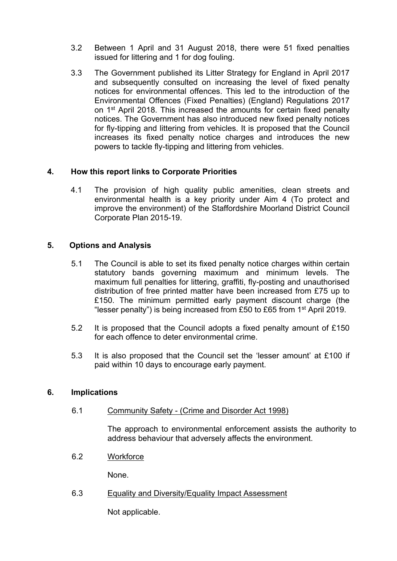- 3.2 Between 1 April and 31 August 2018, there were 51 fixed penalties issued for littering and 1 for dog fouling.
- 3.3 The Government published its Litter Strategy for England in April 2017 and subsequently consulted on increasing the level of fixed penalty notices for environmental offences. This led to the introduction of the Environmental Offences (Fixed Penalties) (England) Regulations 2017 on 1<sup>st</sup> April 2018. This increased the amounts for certain fixed penalty notices. The Government has also introduced new fixed penalty notices for fly-tipping and littering from vehicles. It is proposed that the Council increases its fixed penalty notice charges and introduces the new powers to tackle fly-tipping and littering from vehicles.

#### **4. How this report links to Corporate Priorities**

4.1 The provision of high quality public amenities, clean streets and environmental health is a key priority under Aim 4 (To protect and improve the environment) of the Staffordshire Moorland District Council Corporate Plan 2015-19.

#### **5. Options and Analysis**

- 5.1 The Council is able to set its fixed penalty notice charges within certain statutory bands governing maximum and minimum levels. The maximum full penalties for littering, graffiti, fly-posting and unauthorised distribution of free printed matter have been increased from £75 up to £150. The minimum permitted early payment discount charge (the "lesser penalty") is being increased from £50 to £65 from 1 st April 2019.
- 5.2 It is proposed that the Council adopts a fixed penalty amount of £150 for each offence to deter environmental crime.
- 5.3 It is also proposed that the Council set the 'lesser amount' at £100 if paid within 10 days to encourage early payment.

#### **6. Implications**

6.1 Community Safety - (Crime and Disorder Act 1998)

The approach to environmental enforcement assists the authority to address behaviour that adversely affects the environment.

6.2 Workforce

None.

6.3 Equality and Diversity/Equality Impact Assessment

Not applicable.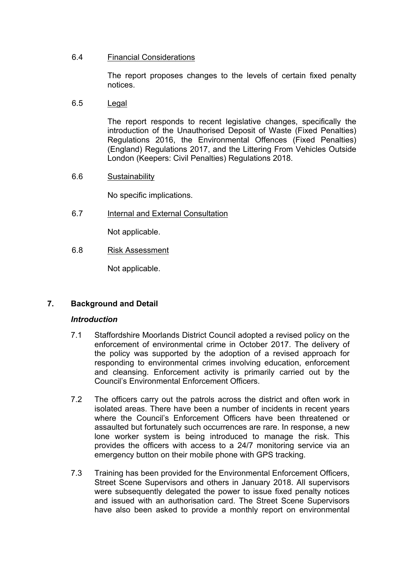#### 6.4 Financial Considerations

The report proposes changes to the levels of certain fixed penalty notices.

6.5 Legal

The report responds to recent legislative changes, specifically the introduction of the Unauthorised Deposit of Waste (Fixed Penalties) Regulations 2016, the Environmental Offences (Fixed Penalties) (England) Regulations 2017, and the Littering From Vehicles Outside London (Keepers: Civil Penalties) Regulations 2018.

6.6 Sustainability

No specific implications.

6.7 Internal and External Consultation

Not applicable.

6.8 Risk Assessment

Not applicable.

### **7. Background and Detail**

#### *Introduction*

- 7.1 Staffordshire Moorlands District Council adopted a revised policy on the enforcement of environmental crime in October 2017. The delivery of the policy was supported by the adoption of a revised approach for responding to environmental crimes involving education, enforcement and cleansing. Enforcement activity is primarily carried out by the Council's Environmental Enforcement Officers.
- 7.2 The officers carry out the patrols across the district and often work in isolated areas. There have been a number of incidents in recent years where the Council's Enforcement Officers have been threatened or assaulted but fortunately such occurrences are rare. In response, a new lone worker system is being introduced to manage the risk. This provides the officers with access to a 24/7 monitoring service via an emergency button on their mobile phone with GPS tracking.
- 7.3 Training has been provided for the Environmental Enforcement Officers, Street Scene Supervisors and others in January 2018. All supervisors were subsequently delegated the power to issue fixed penalty notices and issued with an authorisation card. The Street Scene Supervisors have also been asked to provide a monthly report on environmental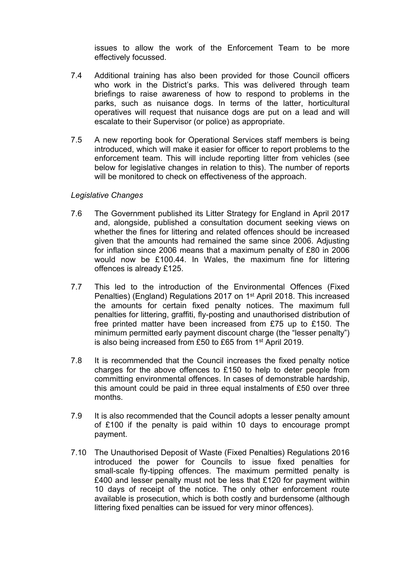issues to allow the work of the Enforcement Team to be more effectively focussed.

- 7.4 Additional training has also been provided for those Council officers who work in the District's parks. This was delivered through team briefings to raise awareness of how to respond to problems in the parks, such as nuisance dogs. In terms of the latter, horticultural operatives will request that nuisance dogs are put on a lead and will escalate to their Supervisor (or police) as appropriate.
- 7.5 A new reporting book for Operational Services staff members is being introduced, which will make it easier for officer to report problems to the enforcement team. This will include reporting litter from vehicles (see below for legislative changes in relation to this). The number of reports will be monitored to check on effectiveness of the approach.

#### *Legislative Changes*

- 7.6 The Government published its Litter Strategy for England in April 2017 and, alongside, published a consultation document seeking views on whether the fines for littering and related offences should be increased given that the amounts had remained the same since 2006. Adjusting for inflation since 2006 means that a maximum penalty of £80 in 2006 would now be £100.44. In Wales, the maximum fine for littering offences is already £125.
- 7.7 This led to the introduction of the Environmental Offences (Fixed Penalties) (England) Regulations 2017 on 1<sup>st</sup> April 2018. This increased the amounts for certain fixed penalty notices. The maximum full penalties for littering, graffiti, fly-posting and unauthorised distribution of free printed matter have been increased from £75 up to £150. The minimum permitted early payment discount charge (the "lesser penalty") is also being increased from £50 to £65 from 1<sup>st</sup> April 2019.
- 7.8 It is recommended that the Council increases the fixed penalty notice charges for the above offences to £150 to help to deter people from committing environmental offences. In cases of demonstrable hardship, this amount could be paid in three equal instalments of £50 over three months.
- 7.9 It is also recommended that the Council adopts a lesser penalty amount of £100 if the penalty is paid within 10 days to encourage prompt payment.
- 7.10 The Unauthorised Deposit of Waste (Fixed Penalties) Regulations 2016 introduced the power for Councils to issue fixed penalties for small-scale fly-tipping offences. The maximum permitted penalty is £400 and lesser penalty must not be less that £120 for payment within 10 days of receipt of the notice. The only other enforcement route available is prosecution, which is both costly and burdensome (although littering fixed penalties can be issued for very minor offences).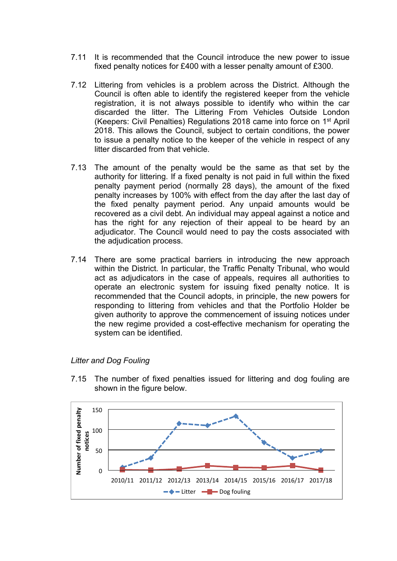- 7.11 It is recommended that the Council introduce the new power to issue fixed penalty notices for £400 with a lesser penalty amount of £300.
- 7.12 Littering from vehicles is a problem across the District. Although the Council is often able to identify the registered keeper from the vehicle registration, it is not always possible to identify who within the car discarded the litter. The Littering From Vehicles Outside London (Keepers: Civil Penalties) Regulations 2018 came into force on 1<sup>st</sup> April 2018. This allows the Council, subject to certain conditions, the power to issue a penalty notice to the keeper of the vehicle in respect of any litter discarded from that vehicle.
- 7.13 The amount of the penalty would be the same as that set by the authority for littering. If a fixed penalty is not paid in full within the fixed penalty payment period (normally 28 days), the amount of the fixed penalty increases by 100% with effect from the day after the last day of the fixed penalty payment period. Any unpaid amounts would be recovered as a civil debt. An individual may appeal against a notice and has the right for any rejection of their appeal to be heard by an adjudicator. The Council would need to pay the costs associated with the adjudication process.
- 7.14 There are some practical barriers in introducing the new approach within the District. In particular, the Traffic Penalty Tribunal, who would act as adjudicators in the case of appeals, requires all authorities to operate an electronic system for issuing fixed penalty notice. It is recommended that the Council adopts, in principle, the new powers for responding to littering from vehicles and that the Portfolio Holder be given authority to approve the commencement of issuing notices under the new regime provided a cost-effective mechanism for operating the system can be identified.



*Litter and Dog Fouling*



7.15 The number of fixed penalties issued for littering and dog fouling are shown in the figure below.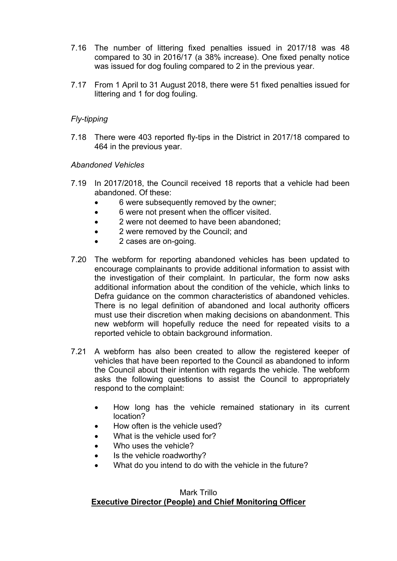- 7.16 The number of littering fixed penalties issued in 2017/18 was 48 compared to 30 in 2016/17 (a 38% increase). One fixed penalty notice was issued for dog fouling compared to 2 in the previous year.
- 7.17 From 1 April to 31 August 2018, there were 51 fixed penalties issued for littering and 1 for dog fouling.

#### *Fly-tipping*

7.18 There were 403 reported fly-tips in the District in 2017/18 compared to 464 in the previous year.

#### *Abandoned Vehicles*

- 7.19 In 2017/2018, the Council received 18 reports that a vehicle had been abandoned. Of these:
	- 6 were subsequently removed by the owner;
	- 6 were not present when the officer visited.
	- 2 were not deemed to have been abandoned:
	- 2 were removed by the Council: and
	- 2 cases are on-going.
- 7.20 The webform for reporting abandoned vehicles has been updated to encourage complainants to provide additional information to assist with the investigation of their complaint. In particular, the form now asks additional information about the condition of the vehicle, which links to Defra guidance on the common characteristics of abandoned vehicles. There is no legal definition of abandoned and local authority officers must use their discretion when making decisions on abandonment. This new webform will hopefully reduce the need for repeated visits to a reported vehicle to obtain background information.
- 7.21 A webform has also been created to allow the registered keeper of vehicles that have been reported to the Council as abandoned to inform the Council about their intention with regards the vehicle. The webform asks the following questions to assist the Council to appropriately respond to the complaint:
	- How long has the vehicle remained stationary in its current location?
	- How often is the vehicle used?
	- What is the vehicle used for?
	- Who uses the vehicle?
	- Is the vehicle roadworthy?
	- What do you intend to do with the vehicle in the future?

#### Mark Trillo **Executive Director (People) and Chief Monitoring Officer**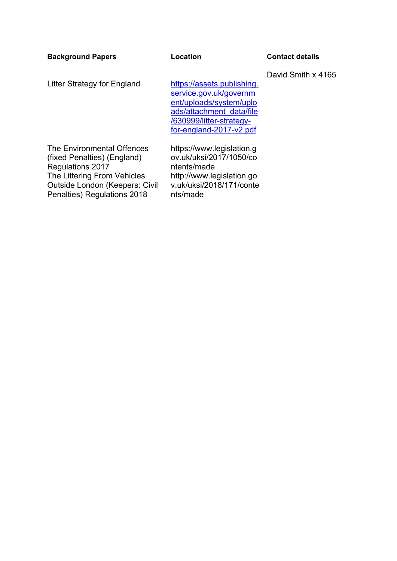| <b>Background Papers</b>                                                                                                                                                                    | <b>Location</b>                                                                                                                                                    | <b>Contact details</b> |  |  |
|---------------------------------------------------------------------------------------------------------------------------------------------------------------------------------------------|--------------------------------------------------------------------------------------------------------------------------------------------------------------------|------------------------|--|--|
| Litter Strategy for England                                                                                                                                                                 | https://assets.publishing.<br>service.gov.uk/governm<br>ent/uploads/system/uplo<br>ads/attachment data/file<br>/630999/litter-strategy-<br>for-england-2017-v2.pdf | David Smith x 4165     |  |  |
| The Environmental Offences<br>(fixed Penalties) (England)<br><b>Regulations 2017</b><br>The Littering From Vehicles<br><b>Outside London (Keepers: Civil</b><br>Penalties) Regulations 2018 | https://www.legislation.g<br>ov.uk/uksi/2017/1050/co<br>ntents/made<br>http://www.legislation.go<br>v.uk/uksi/2018/171/conte<br>nts/made                           |                        |  |  |